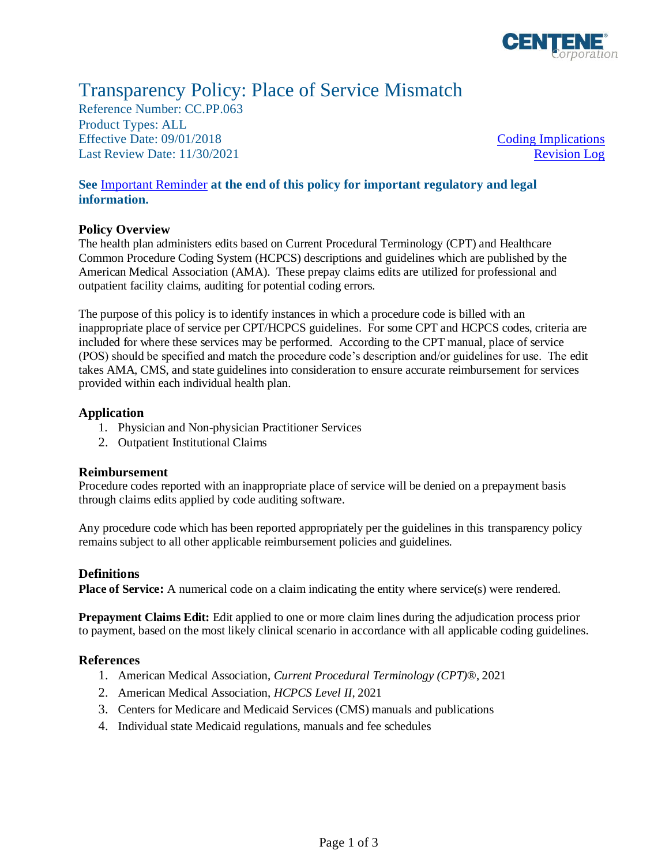

# Transparency Policy: Place of Service Mismatch

Reference Number: CC.PP.063 Product Types: ALL Effective Date: 09/01/2018 [Coding Implications](#page-0-0) Last Review Date: 11/30/2021 [Revision Log](#page-1-0)

## **See** [Important Reminder](#page-1-1) **at the end of this policy for important regulatory and legal information.**

## **Policy Overview**

The health plan administers edits based on Current Procedural Terminology (CPT) and Healthcare Common Procedure Coding System (HCPCS) descriptions and guidelines which are published by the American Medical Association (AMA). These prepay claims edits are utilized for professional and outpatient facility claims, auditing for potential coding errors.

The purpose of this policy is to identify instances in which a procedure code is billed with an inappropriate place of service per CPT/HCPCS guidelines. For some CPT and HCPCS codes, criteria are included for where these services may be performed. According to the CPT manual, place of service (POS) should be specified and match the procedure code's description and/or guidelines for use. The edit takes AMA, CMS, and state guidelines into consideration to ensure accurate reimbursement for services provided within each individual health plan.

## **Application**

- 1. Physician and Non-physician Practitioner Services
- 2. Outpatient Institutional Claims

#### <span id="page-0-0"></span>**Reimbursement**

Procedure codes reported with an inappropriate place of service will be denied on a prepayment basis through claims edits applied by code auditing software.

Any procedure code which has been reported appropriately per the guidelines in this transparency policy remains subject to all other applicable reimbursement policies and guidelines.

#### **Definitions**

**Place of Service:** A numerical code on a claim indicating the entity where service(s) were rendered.

**Prepayment Claims Edit:** Edit applied to one or more claim lines during the adjudication process prior to payment, based on the most likely clinical scenario in accordance with all applicable coding guidelines.

#### **References**

- 1. American Medical Association, *Current Procedural Terminology (CPT)*®, 2021
- 2. American Medical Association, *HCPCS Level II*, 2021
- 3. Centers for Medicare and Medicaid Services (CMS) manuals and publications
- 4. Individual state Medicaid regulations, manuals and fee schedules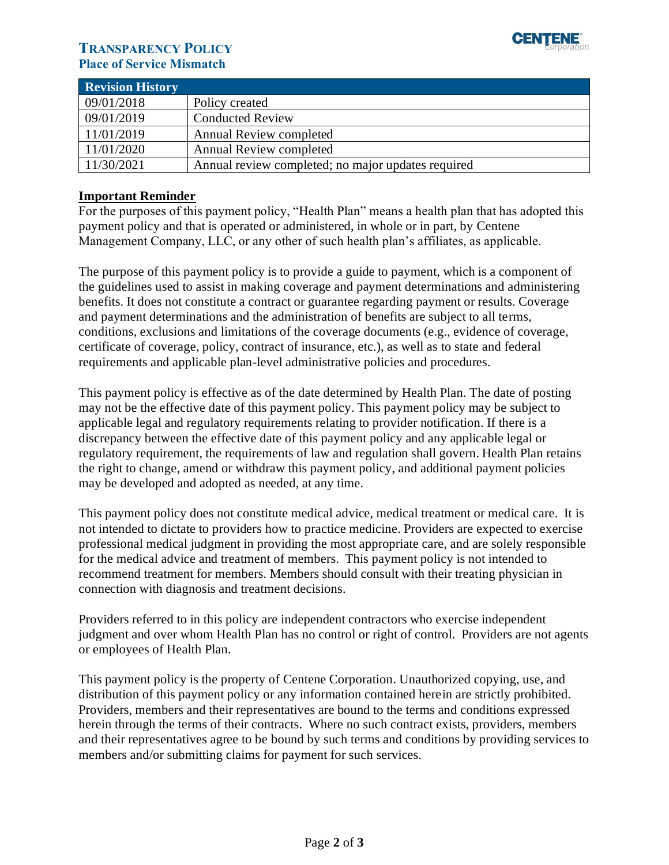

# **TRANSPARENCY POLICY Place of Service Mismatch**

<span id="page-1-0"></span>

| <b>Revision History</b> |                                                    |
|-------------------------|----------------------------------------------------|
| 09/01/2018              | Policy created                                     |
| 09/01/2019              | <b>Conducted Review</b>                            |
| 11/01/2019              | <b>Annual Review completed</b>                     |
| 11/01/2020              | <b>Annual Review completed</b>                     |
| 11/30/2021              | Annual review completed; no major updates required |

## <span id="page-1-1"></span>**Important Reminder**

For the purposes of this payment policy, "Health Plan" means a health plan that has adopted this payment policy and that is operated or administered, in whole or in part, by Centene Management Company, LLC, or any other of such health plan's affiliates, as applicable.

The purpose of this payment policy is to provide a guide to payment, which is a component of the guidelines used to assist in making coverage and payment determinations and administering benefits. It does not constitute a contract or guarantee regarding payment or results. Coverage and payment determinations and the administration of benefits are subject to all terms, conditions, exclusions and limitations of the coverage documents (e.g., evidence of coverage, certificate of coverage, policy, contract of insurance, etc.), as well as to state and federal requirements and applicable plan-level administrative policies and procedures.

This payment policy is effective as of the date determined by Health Plan. The date of posting may not be the effective date of this payment policy. This payment policy may be subject to applicable legal and regulatory requirements relating to provider notification. If there is a discrepancy between the effective date of this payment policy and any applicable legal or regulatory requirement, the requirements of law and regulation shall govern. Health Plan retains the right to change, amend or withdraw this payment policy, and additional payment policies may be developed and adopted as needed, at any time.

This payment policy does not constitute medical advice, medical treatment or medical care. It is not intended to dictate to providers how to practice medicine. Providers are expected to exercise professional medical judgment in providing the most appropriate care, and are solely responsible for the medical advice and treatment of members. This payment policy is not intended to recommend treatment for members. Members should consult with their treating physician in connection with diagnosis and treatment decisions.

Providers referred to in this policy are independent contractors who exercise independent judgment and over whom Health Plan has no control or right of control. Providers are not agents or employees of Health Plan.

This payment policy is the property of Centene Corporation. Unauthorized copying, use, and distribution of this payment policy or any information contained herein are strictly prohibited. Providers, members and their representatives are bound to the terms and conditions expressed herein through the terms of their contracts. Where no such contract exists, providers, members and their representatives agree to be bound by such terms and conditions by providing services to members and/or submitting claims for payment for such services.